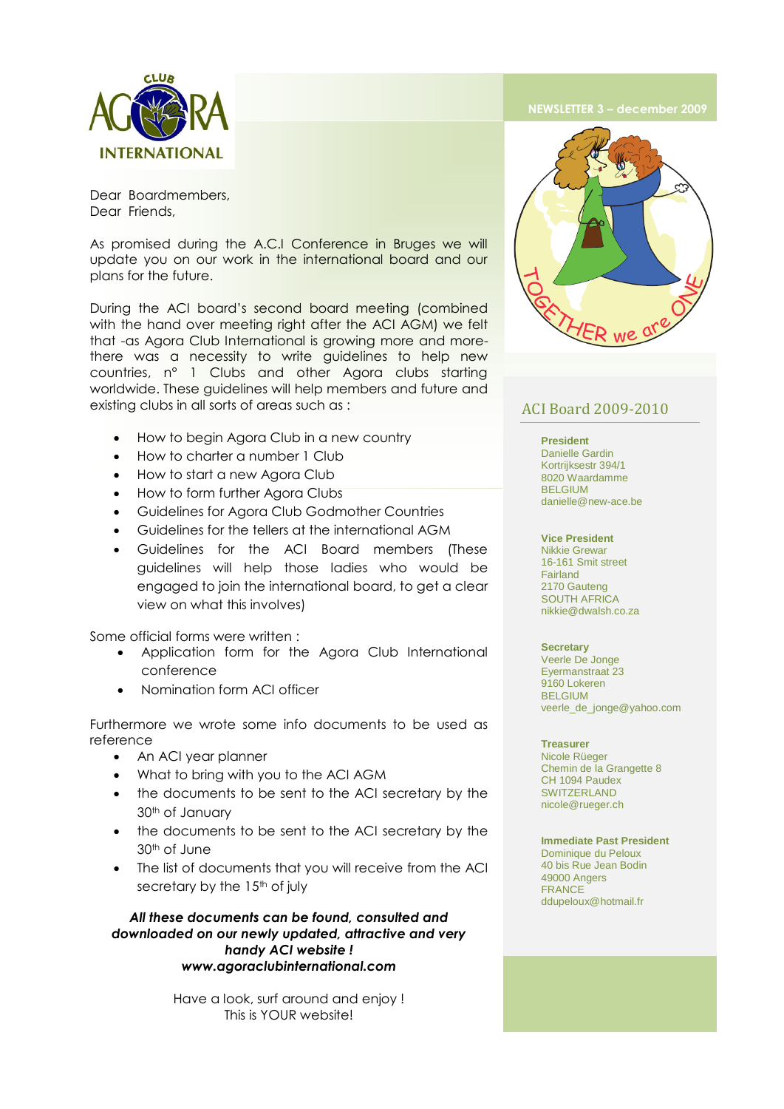

Dear Boardmembers, Dear Friends,

As promised during the A.C.I Conference in Bruges we will update you on our work in the international board and our plans for the future.

During the ACI board's second board meeting (combined with the hand over meeting right after the ACI AGM) we felt that -as Agora Club International is growing more and morethere was a necessity to write guidelines to help new countries, n° 1 Clubs and other Agora clubs starting worldwide. These guidelines will help members and future and existing clubs in all sorts of areas such as :

- How to begin Agora Club in a new country
- How to charter a number 1 Club
- How to start a new Agora Club
- How to form further Agora Clubs
- Guidelines for Agora Club Godmother Countries
- Guidelines for the tellers at the international AGM
- Guidelines for the ACI Board members (These guidelines will help those ladies who would be engaged to join the international board, to get a clear view on what this involves)

Some official forms were written :

- Application form for the Agora Club International conference
- Nomination form ACI officer

Furthermore we wrote some info documents to be used as reference

- An ACI year planner
- What to bring with you to the ACI AGM
- the documents to be sent to the ACI secretary by the 30th of January
- the documents to be sent to the ACI secretary by the 30th of June
- The list of documents that you will receive from the ACI secretary by the 15<sup>th</sup> of july

*All these documents can be found, consulted and downloaded on our newly updated, attractive and very handy ACI website ! www.agoraclubinternational.com*

> Have a look, surf around and enjoy ! This is YOUR website!



# ACI Board 2009-2010

#### **President**

Danielle Gardin Kortrijksestr 394/1 8020 Waardamme BELGIUM danielle@new-ace.be

**Vice President**  Nikkie Grewar 16-161 Smit street Fairland 2170 Gauteng SOUTH AFRICA nikkie@dwalsh.co.za

## **Secretary**

Veerle De Jonge Eyermanstraat 23 9160 Lokeren BELGIUM veerle\_de\_jonge@yahoo.com

#### **Treasurer**

Nicole Rüeger Chemin de la Grangette 8 CH 1094 Paudex SWITZERLAND nicole@rueger.ch

## **Immediate Past President**

Dominique du Peloux 40 bis Rue Jean Bodin 49000 Angers FRANCE ddupeloux@hotmail.fr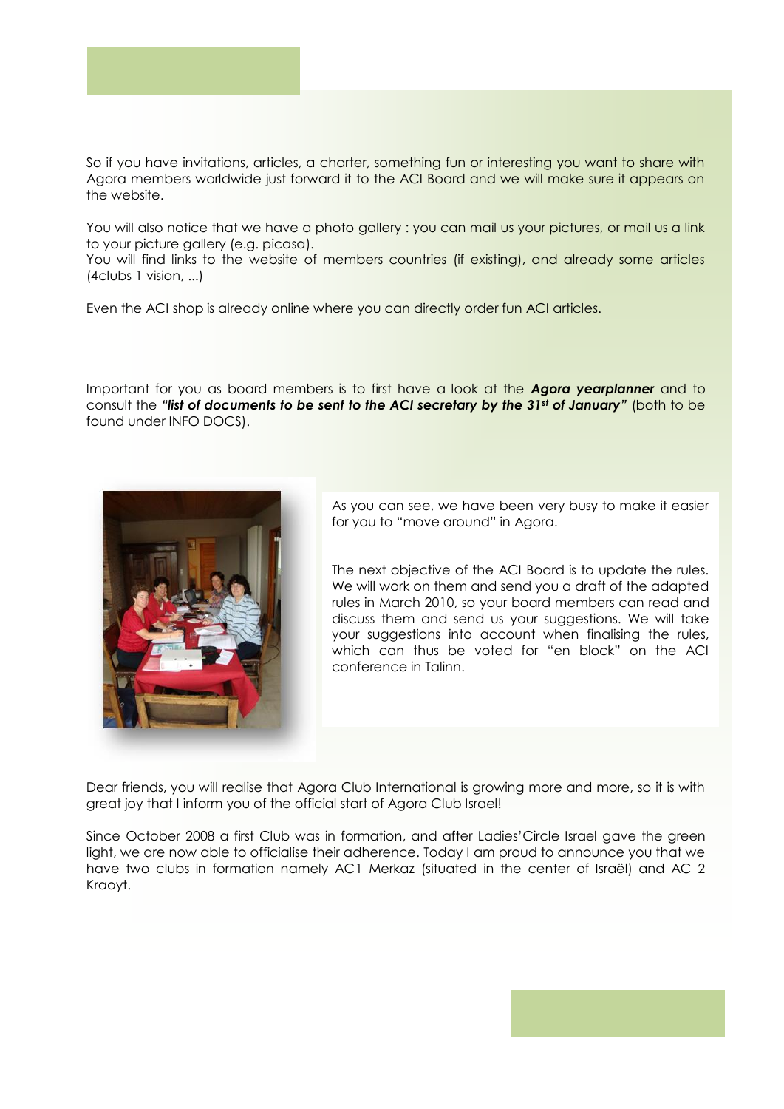

So if you have invitations, articles, a charter, something fun or interesting you want to share with Agora members worldwide just forward it to the ACI Board and we will make sure it appears on the website.

You will also notice that we have a photo gallery : you can mail us your pictures, or mail us a link to your picture gallery (e.g. picasa).

You will find links to the website of members countries (if existing), and already some articles (4clubs 1 vision, ...)

Even the ACI shop is already online where you can directly order fun ACI articles.

Important for you as board members is to first have a look at the *Agora yearplanner* and to consult the *"list of documents to be sent to the ACI secretary by the 31st of January"* (both to be found under INFO DOCS).



As you can see, we have been very busy to make it easier for you to "move around" in Agora.

The next objective of the ACI Board is to update the rules. We will work on them and send you a draft of the adapted rules in March 2010, so your board members can read and discuss them and send us your suggestions. We will take your suggestions into account when finalising the rules, which can thus be voted for "en block" on the ACI conference in Talinn.

Dear friends, you will realise that Agora Club International is growing more and more, so it is with great joy that I inform you of the official start of Agora Club Israel!

Since October 2008 a first Club was in formation, and after Ladies'Circle Israel gave the green light, we are now able to officialise their adherence. Today I am proud to announce you that we have two clubs in formation namely AC1 Merkaz (situated in the center of Israël) and AC 2 Kraoyt.